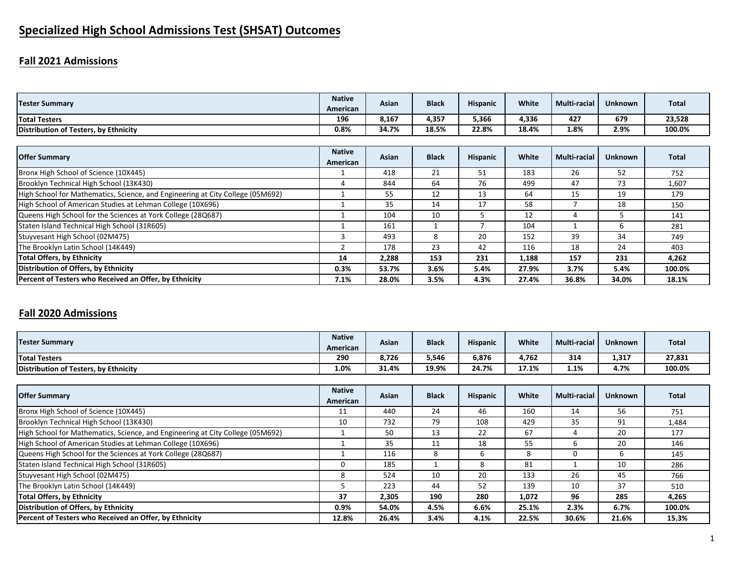# **Specialized High School Admissions Test (SHSAT) Outcomes**

# **Fall 2021 Admissions**

| <b>Tester Summary</b>                                                          | <b>Native</b><br>American | Asian | <b>Black</b> | <b>Hispanic</b> | White | Multi-racial        | <b>Unknown</b> | <b>Total</b> |
|--------------------------------------------------------------------------------|---------------------------|-------|--------------|-----------------|-------|---------------------|----------------|--------------|
| <b>Total Testers</b>                                                           | 196                       | 8,167 | 4,357        | 5,366           | 4,336 | 427                 | 679            | 23,528       |
| Distribution of Testers, by Ethnicity                                          | 0.8%                      | 34.7% | 18.5%        | 22.8%           | 18.4% | 1.8%                | 2.9%           | 100.0%       |
|                                                                                |                           |       |              |                 |       |                     |                |              |
| <b>Offer Summary</b>                                                           | <b>Native</b><br>American | Asian | <b>Black</b> | <b>Hispanic</b> | White | <b>Multi-racial</b> | <b>Unknown</b> | <b>Total</b> |
| Bronx High School of Science (10X445)                                          |                           | 418   | 21           | 51              | 183   | 26                  | 52             | 752          |
| Brooklyn Technical High School (13K430)                                        | 4                         | 844   | 64           | 76              | 499   | 47                  | 73             | 1,607        |
| High School for Mathematics, Science, and Engineering at City College (05M692) |                           | 55    | 12           | 13              | 64    | 15                  | 19             | 179          |
| High School of American Studies at Lehman College (10X696)                     |                           | 35    | 14           | 17              | 58    |                     | 18             | 150          |
| Queens High School for the Sciences at York College (28Q687)                   |                           | 104   | 10           | ∍               | 12    | 4                   |                | 141          |
| Staten Island Technical High School (31R605)                                   |                           | 161   |              |                 | 104   |                     | 6              | 281          |
| Stuyvesant High School (02M475)                                                | 3                         | 493   | 8            | 20              | 152   | 39                  | 34             | 749          |
| The Brooklyn Latin School (14K449)                                             |                           | 178   | 23           | 42              | 116   | 18                  | 24             | 403          |
| Total Offers, by Ethnicity                                                     | 14                        | 2,288 | 153          | 231             | 1,188 | 157                 | 231            | 4,262        |
| Distribution of Offers, by Ethnicity                                           | 0.3%                      | 53.7% | 3.6%         | 5.4%            | 27.9% | 3.7%                | 5.4%           | 100.0%       |
| Percent of Testers who Received an Offer, by Ethnicity                         | 7.1%                      | 28.0% | 3.5%         | 4.3%            | 27.4% | 36.8%               | 34.0%          | 18.1%        |

# **Fall 2020 Admissions**

| <b>Tester Summary</b>                 | <b>Native</b><br>American | Asian | <b>Black</b> | <b>Hispanic</b> | White | Multi-racial | Unknown | <b>Total</b> |
|---------------------------------------|---------------------------|-------|--------------|-----------------|-------|--------------|---------|--------------|
| <b>Total Testers</b>                  | 290                       | 8,726 | 5,546        | 6,876           | 1,762 | 314          | 1,317   | 27,831       |
| Distribution of Testers, by Ethnicity | 1.0%                      | 31.4% | 19.9%        | 24.7%           | 17.1% | 1.1%         | 4.7%    | 100.0%       |

| <b>Offer Summary</b>                                                           | <b>Native</b><br>American | Asian | <b>Black</b> | <b>Hispanic</b> | White | Multi-racial | <b>Unknown</b> | <b>Total</b> |
|--------------------------------------------------------------------------------|---------------------------|-------|--------------|-----------------|-------|--------------|----------------|--------------|
| Bronx High School of Science (10X445)                                          | 11                        | 440   | 24           | 46              | 160   | 14           | 56             | 751          |
| Brooklyn Technical High School (13K430)                                        | 10                        | 732   | 79           | 108             | 429   | 35           | 91             | 1,484        |
| High School for Mathematics, Science, and Engineering at City College (05M692) |                           | 50    | 13           | 22              | 67    |              | 20             | 177          |
| High School of American Studies at Lehman College (10X696)                     |                           | 35    | 11           | 18              | 55    | h            | 20             | 146          |
| Queens High School for the Sciences at York College (28Q687)                   |                           | 116   | 8            | b               | ົ     | 0            | n              | 145          |
| Staten Island Technical High School (31R605)                                   |                           | 185   |              | 8               | 81    |              | 10             | 286          |
| Stuyvesant High School (02M475)                                                | 8                         | 524   | 10           | 20              | 133   | 26           | 45             | 766          |
| The Brooklyn Latin School (14K449)                                             |                           | 223   | 44           | 52              | 139   | 10           | 37             | 510          |
| <b>Total Offers, by Ethnicity</b>                                              | 37                        | 2.305 | 190          | 280             | 1,072 | 96           | 285            | 4,265        |
| Distribution of Offers, by Ethnicity                                           | 0.9%                      | 54.0% | 4.5%         | 6.6%            | 25.1% | 2.3%         | 6.7%           | 100.0%       |
| Percent of Testers who Received an Offer, by Ethnicity                         | 12.8%                     | 26.4% | 3.4%         | 4.1%            | 22.5% | 30.6%        | 21.6%          | 15.3%        |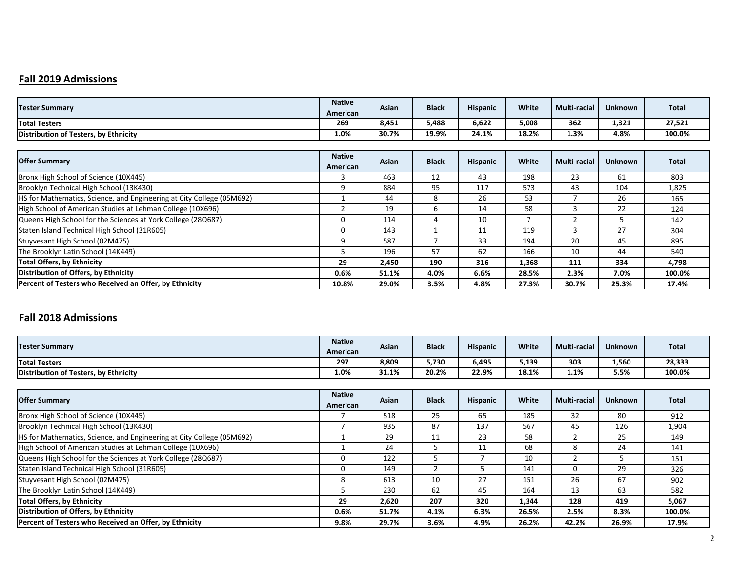# **Fall 2019 Admissions**

| <b>Tester Summary</b>                                                 | <b>Native</b><br>American | Asian | <b>Black</b> | <b>Hispanic</b> | White | <b>Multi-racial</b> | <b>Unknown</b> | Total  |
|-----------------------------------------------------------------------|---------------------------|-------|--------------|-----------------|-------|---------------------|----------------|--------|
| <b>Total Testers</b>                                                  | 269                       | 8,451 | 5,488        | 6,622           | 5,008 | 362                 | 1,321          | 27,521 |
| Distribution of Testers, by Ethnicity                                 | 1.0%                      | 30.7% | 19.9%        | 24.1%           | 18.2% | 1.3%                | 4.8%           | 100.0% |
|                                                                       |                           |       |              |                 |       |                     |                |        |
| <b>Offer Summary</b>                                                  | <b>Native</b><br>American | Asian | <b>Black</b> | <b>Hispanic</b> | White | <b>Multi-racial</b> | <b>Unknown</b> | Total  |
| Bronx High School of Science (10X445)                                 | З                         | 463   | 12           | 43              | 198   | 23                  | 61             | 803    |
| Brooklyn Technical High School (13K430)                               | 9                         | 884   | 95           | 117             | 573   | 43                  | 104            | 1,825  |
| HS for Mathematics, Science, and Engineering at City College (05M692) |                           | 44    | 8            | 26              | 53    |                     | 26             | 165    |
| High School of American Studies at Lehman College (10X696)            |                           | 19    | 6            | 14              | 58    | 3                   | 22             | 124    |
| Queens High School for the Sciences at York College (28Q687)          | $\Omega$                  | 114   | 4            | 10              |       | 2                   | כ              | 142    |
| Staten Island Technical High School (31R605)                          | $\mathbf{0}$              | 143   |              | 11              | 119   | 3                   | 27             | 304    |
| Stuyvesant High School (02M475)                                       | 9                         | 587   |              | 33              | 194   | 20                  | 45             | 895    |
| The Brooklyn Latin School (14K449)                                    | ╮                         | 196   | 57           | 62              | 166   | 10                  | 44             | 540    |
| <b>Total Offers, by Ethnicity</b>                                     | 29                        | 2,450 | 190          | 316             | 1,368 | 111                 | 334            | 4,798  |
| Distribution of Offers, by Ethnicity                                  | 0.6%                      | 51.1% | 4.0%         | 6.6%            | 28.5% | 2.3%                | 7.0%           | 100.0% |
| Percent of Testers who Received an Offer, by Ethnicity                | 10.8%                     | 29.0% | 3.5%         | 4.8%            | 27.3% | 30.7%               | 25.3%          | 17.4%  |

#### **Fall 2018 Admissions**

| <b>Tester Summary</b>                 | <b>Native</b><br>American | Asian | <b>Black</b> | <b>Hispanic</b> | <b>White</b> | <b>Multi-racial</b> | <b>Unknown</b> | <b>Total</b> |
|---------------------------------------|---------------------------|-------|--------------|-----------------|--------------|---------------------|----------------|--------------|
| <b>Total Testers</b>                  | 297                       | 8,809 | 5,730        | 6,495           | 5,139        | 303                 | 1,560          | 28,333       |
| Distribution of Testers, by Ethnicity | 1.0%                      | 31.1% | 20.2%        | 22.9%           | 18.1%        | 1.1%                | 5.5%           | 100.0%       |

| <b>Offer Summary</b>                                                  | <b>Native</b><br>American | Asian | <b>Black</b> | <b>Hispanic</b> | White | <b>Multi-racial</b> | <b>Unknown</b> | <b>Total</b> |
|-----------------------------------------------------------------------|---------------------------|-------|--------------|-----------------|-------|---------------------|----------------|--------------|
| Bronx High School of Science (10X445)                                 |                           | 518   | 25           | 65              | 185   | 32                  | 80             | 912          |
| Brooklyn Technical High School (13K430)                               |                           | 935   | 87           | 137             | 567   | 45                  | 126            | 1,904        |
| HS for Mathematics, Science, and Engineering at City College (05M692) |                           | 29    | 11           | 23              | 58    |                     | 25             | 149          |
| High School of American Studies at Lehman College (10X696)            |                           | 24    |              | 11              | 68    | 8                   | 24             | 141          |
| Queens High School for the Sciences at York College (28Q687)          | 0                         | 122   |              |                 | 10    |                     |                | 151          |
| Staten Island Technical High School (31R605)                          | 0                         | 149   |              |                 | 141   | O                   | 29             | 326          |
| Stuyvesant High School (02M475)                                       | 8                         | 613   | 10           | 27              | 151   | 26                  | 67             | 902          |
| The Brooklyn Latin School (14K449)                                    |                           | 230   | 62           | 45              | 164   | 13                  | 63             | 582          |
| <b>Total Offers, by Ethnicity</b>                                     | 29                        | 2,620 | 207          | 320             | 1,344 | 128                 | 419            | 5,067        |
| Distribution of Offers, by Ethnicity                                  | $0.6\%$                   | 51.7% | 4.1%         | 6.3%            | 26.5% | 2.5%                | 8.3%           | 100.0%       |
| Percent of Testers who Received an Offer, by Ethnicity                | 9.8%                      | 29.7% | 3.6%         | 4.9%            | 26.2% | 42.2%               | 26.9%          | 17.9%        |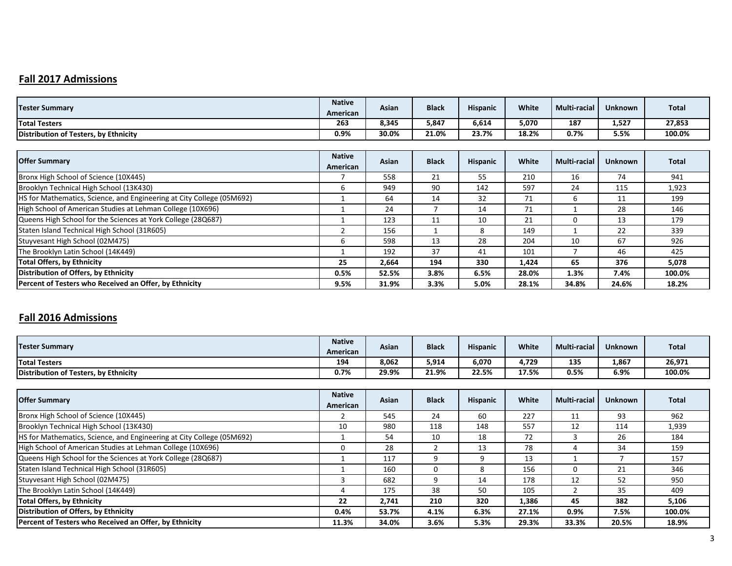# **Fall 2017 Admissions**

| <b>Tester Summary</b>                                                        | <b>Native</b><br>American | Asian | <b>Black</b> | <b>Hispanic</b> | White | <b>Multi-racial</b> | <b>Unknown</b> | <b>Total</b> |
|------------------------------------------------------------------------------|---------------------------|-------|--------------|-----------------|-------|---------------------|----------------|--------------|
| <b>Total Testers</b>                                                         | 263                       | 8,345 | 5,847        | 6,614           | 5,070 | 187                 | 1,527          | 27,853       |
| Distribution of Testers, by Ethnicity                                        | 0.9%                      | 30.0% | 21.0%        | 23.7%           | 18.2% | 0.7%                | 5.5%           | 100.0%       |
|                                                                              |                           |       |              |                 |       |                     |                |              |
| <b>Offer Summary</b>                                                         | <b>Native</b><br>American | Asian | <b>Black</b> | <b>Hispanic</b> | White | <b>Multi-racial</b> | <b>Unknown</b> | <b>Total</b> |
| Bronx High School of Science (10X445)                                        |                           | 558   | 21           | 55              | 210   | 16                  | 74             | 941          |
| Brooklyn Technical High School (13K430)                                      | 6                         | 949   | 90           | 142             | 597   | 24                  | 115            | 1,923        |
| <b>HS for Mathematics, Science, and Engineering at City College (05M692)</b> |                           | 64    | 14           | 32              | 71    | 6                   | 11             | 199          |
| High School of American Studies at Lehman College (10X696)                   |                           | 24    |              | 14              | 71    |                     | 28             | 146          |
| Queens High School for the Sciences at York College (28Q687)                 |                           | 123   | 11           | 10              | 21    | 0                   | 13             | 179          |
| Staten Island Technical High School (31R605)                                 |                           | 156   |              | 8               | 149   |                     | 22             | 339          |
| Stuyvesant High School (02M475)                                              | 6                         | 598   | 13           | 28              | 204   | 10                  | 67             | 926          |
| The Brooklyn Latin School (14K449)                                           |                           | 192   | 37           | 41              | 101   |                     | 46             | 425          |
| Total Offers, by Ethnicity                                                   | 25                        | 2,664 | 194          | 330             | 1,424 | 65                  | 376            | 5,078        |
| Distribution of Offers, by Ethnicity                                         | 0.5%                      | 52.5% | 3.8%         | 6.5%            | 28.0% | 1.3%                | 7.4%           | 100.0%       |
| Percent of Testers who Received an Offer, by Ethnicity                       | 9.5%                      | 31.9% | 3.3%         | 5.0%            | 28.1% | 34.8%               | 24.6%          | 18.2%        |

#### **Fall 2016 Admissions**

| <b>Tester Summary</b>                 | <b>Native</b><br>American | Asian | <b>Black</b> | <b>Hispanic</b> | <b>White</b> | <b>Multi-racial</b> | <b>Unknown</b> | <b>Total</b> |
|---------------------------------------|---------------------------|-------|--------------|-----------------|--------------|---------------------|----------------|--------------|
| <b>Total Testers</b>                  | 194                       | 8,062 | 5,914        | 6,070           | 1.729        | 135                 | 1,867          | 26,971       |
| Distribution of Testers, by Ethnicity | 0.7%                      | 29.9% | 21.9%        | 22.5%           | 17.5%        | 0.5%                | 6.9%           | 100.0%       |

| <b>Offer Summary</b>                                                  | <b>Native</b><br>American | Asian | <b>Black</b> | <b>Hispanic</b> | White | <b>Multi-racial</b> | <b>Unknown</b> | <b>Total</b> |
|-----------------------------------------------------------------------|---------------------------|-------|--------------|-----------------|-------|---------------------|----------------|--------------|
| Bronx High School of Science (10X445)                                 |                           | 545   | 24           | 60              | 227   | 11                  | 93             | 962          |
| Brooklyn Technical High School (13K430)                               | 10                        | 980   | 118          | 148             | 557   | 12                  | 114            | 1,939        |
| HS for Mathematics, Science, and Engineering at City College (05M692) |                           | 54    | 10           | 18              | 72    |                     | 26             | 184          |
| High School of American Studies at Lehman College (10X696)            | 0                         | 28    |              | 13              | 78    |                     | 34             | 159          |
| Queens High School for the Sciences at York College (28Q687)          |                           | 117   |              |                 | 13    |                     |                | 157          |
| Staten Island Technical High School (31R605)                          |                           | 160   | 0            | 8               | 156   |                     | 21             | 346          |
| Stuyvesant High School (02M475)                                       |                           | 682   |              | 14              | 178   | 12                  | 52             | 950          |
| The Brooklyn Latin School (14K449)                                    |                           | 175   | 38           | 50              | 105   |                     | 35             | 409          |
| <b>Total Offers, by Ethnicity</b>                                     | 22                        | 2,741 | 210          | 320             | 1,386 | 45                  | 382            | 5,106        |
| Distribution of Offers, by Ethnicity                                  | 0.4%                      | 53.7% | 4.1%         | 6.3%            | 27.1% | 0.9%                | 7.5%           | 100.0%       |
| Percent of Testers who Received an Offer, by Ethnicity                | 11.3%                     | 34.0% | 3.6%         | 5.3%            | 29.3% | 33.3%               | 20.5%          | 18.9%        |